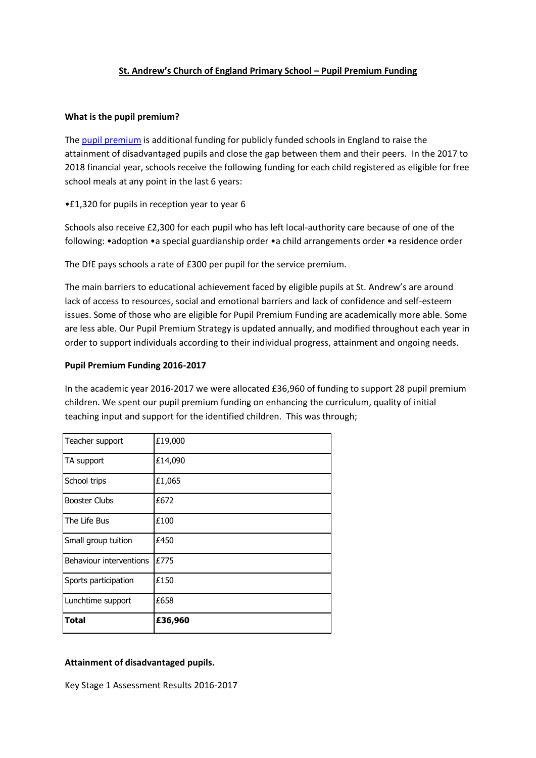# **St. Andrew's Church of England Primary School – Pupil Premium Funding**

#### **What is the pupil premium?**

The [pupil premium](https://www.gov.uk/government/policies/raising-the-achievement-of-disadvantaged-children/supporting-pages/pupil-premium) is additional funding for publicly funded schools in England to raise the attainment of disadvantaged pupils and close the gap between them and their peers. In the 2017 to 2018 financial year, schools receive the following funding for each child registered as eligible for free school meals at any point in the last 6 years:

•£1,320 for pupils in reception year to year 6

Schools also receive £2,300 for each pupil who has left local-authority care because of one of the following: •adoption •a special guardianship order •a child arrangements order •a residence order

The DfE pays schools a rate of £300 per pupil for the service premium.

The main barriers to educational achievement faced by eligible pupils at St. Andrew's are around lack of access to resources, social and emotional barriers and lack of confidence and self-esteem issues. Some of those who are eligible for Pupil Premium Funding are academically more able. Some are less able. Our Pupil Premium Strategy is updated annually, and modified throughout each year in order to support individuals according to their individual progress, attainment and ongoing needs.

### **Pupil Premium Funding 2016-2017**

In the academic year 2016-2017 we were allocated £36,960 of funding to support 28 pupil premium children. We spent our pupil premium funding on enhancing the curriculum, quality of initial teaching input and support for the identified children. This was through;

| Teacher support         | £19,000 |
|-------------------------|---------|
| TA support              | £14,090 |
| School trips            | £1,065  |
| <b>Booster Clubs</b>    | £672    |
| The Life Bus            | £100    |
| Small group tuition     | £450    |
| Behaviour interventions | £775    |
| Sports participation    | £150    |
| Lunchtime support       | £658    |
| <b>Total</b>            | £36,960 |

#### **Attainment of disadvantaged pupils.**

Key Stage 1 Assessment Results 2016-2017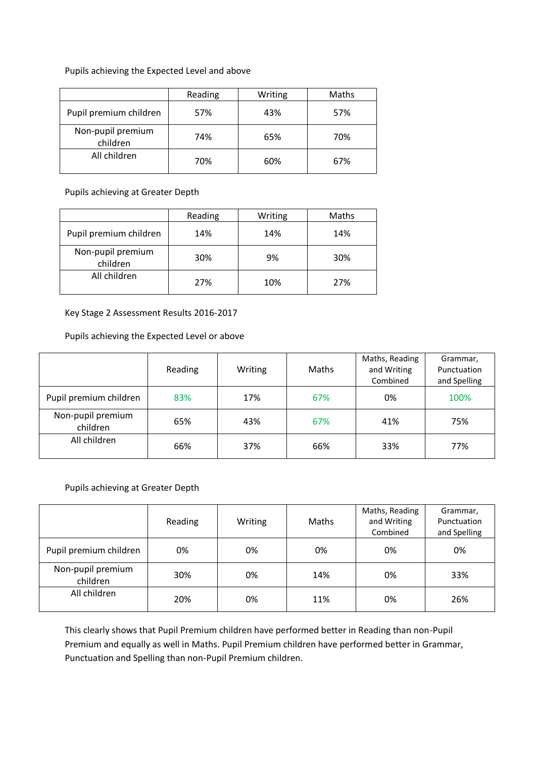Pupils achieving the Expected Level and above

|                               | Reading | Writing | Maths |
|-------------------------------|---------|---------|-------|
| Pupil premium children        | 57%     | 43%     | 57%   |
| Non-pupil premium<br>children | 74%     | 65%     | 70%   |
| All children                  | 70%     | 60%     | 67%   |

Pupils achieving at Greater Depth

|                               | Reading | Writing | <b>Maths</b> |
|-------------------------------|---------|---------|--------------|
| Pupil premium children        | 14%     | 14%     | 14%          |
| Non-pupil premium<br>children | 30%     | 9%      | 30%          |
| All children                  | 27%     | 10%     | 27%          |

Key Stage 2 Assessment Results 2016-2017

Pupils achieving the Expected Level or above

|                               | Reading | Writing | <b>Maths</b> | Maths, Reading<br>and Writing<br>Combined | Grammar,<br>Punctuation<br>and Spelling |
|-------------------------------|---------|---------|--------------|-------------------------------------------|-----------------------------------------|
| Pupil premium children        | 83%     | 17%     | 67%          | 0%                                        | 100%                                    |
| Non-pupil premium<br>children | 65%     | 43%     | 67%          | 41%                                       | 75%                                     |
| All children                  | 66%     | 37%     | 66%          | 33%                                       | 77%                                     |

# Pupils achieving at Greater Depth

|                               | Reading | Writing | Maths | Maths, Reading<br>and Writing<br>Combined | Grammar,<br>Punctuation<br>and Spelling |
|-------------------------------|---------|---------|-------|-------------------------------------------|-----------------------------------------|
| Pupil premium children        | 0%      | 0%      | 0%    | 0%                                        | 0%                                      |
| Non-pupil premium<br>children | 30%     | 0%      | 14%   | 0%                                        | 33%                                     |
| All children                  | 20%     | 0%      | 11%   | 0%                                        | 26%                                     |

This clearly shows that Pupil Premium children have performed better in Reading than non-Pupil Premium and equally as well in Maths. Pupil Premium children have performed better in Grammar, Punctuation and Spelling than non-Pupil Premium children.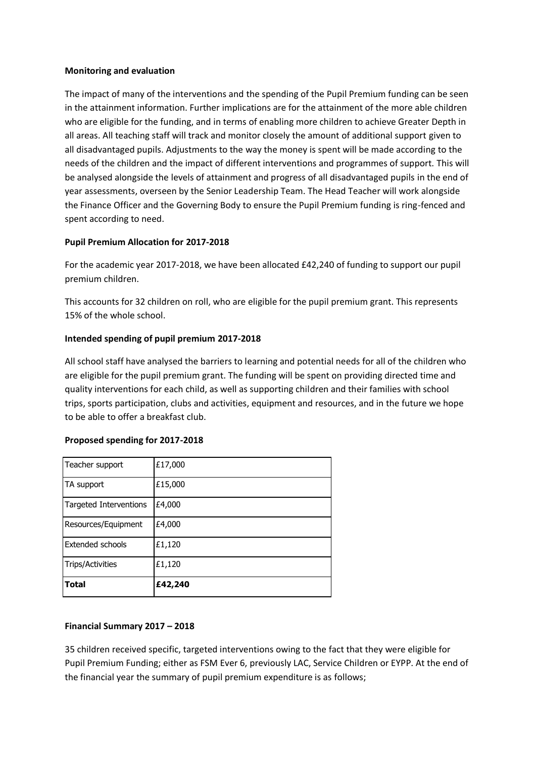#### **Monitoring and evaluation**

The impact of many of the interventions and the spending of the Pupil Premium funding can be seen in the attainment information. Further implications are for the attainment of the more able children who are eligible for the funding, and in terms of enabling more children to achieve Greater Depth in all areas. All teaching staff will track and monitor closely the amount of additional support given to all disadvantaged pupils. Adjustments to the way the money is spent will be made according to the needs of the children and the impact of different interventions and programmes of support. This will be analysed alongside the levels of attainment and progress of all disadvantaged pupils in the end of year assessments, overseen by the Senior Leadership Team. The Head Teacher will work alongside the Finance Officer and the Governing Body to ensure the Pupil Premium funding is ring-fenced and spent according to need.

# **Pupil Premium Allocation for 2017-2018**

For the academic year 2017-2018, we have been allocated £42,240 of funding to support our pupil premium children.

This accounts for 32 children on roll, who are eligible for the pupil premium grant. This represents 15% of the whole school.

### **Intended spending of pupil premium 2017-2018**

All school staff have analysed the barriers to learning and potential needs for all of the children who are eligible for the pupil premium grant. The funding will be spent on providing directed time and quality interventions for each child, as well as supporting children and their families with school trips, sports participation, clubs and activities, equipment and resources, and in the future we hope to be able to offer a breakfast club.

# **Proposed spending for 2017-2018**

| <b>Trips/Activities</b><br><b>Total</b> | £1,120<br>£42,240 |
|-----------------------------------------|-------------------|
| Extended schools                        | £1,120            |
| Resources/Equipment                     | £4,000            |
| <b>Targeted Interventions</b>           | £4,000            |
| TA support                              | £15,000           |
| Teacher support                         | £17,000           |

# **Financial Summary 2017 – 2018**

35 children received specific, targeted interventions owing to the fact that they were eligible for Pupil Premium Funding; either as FSM Ever 6, previously LAC, Service Children or EYPP. At the end of the financial year the summary of pupil premium expenditure is as follows;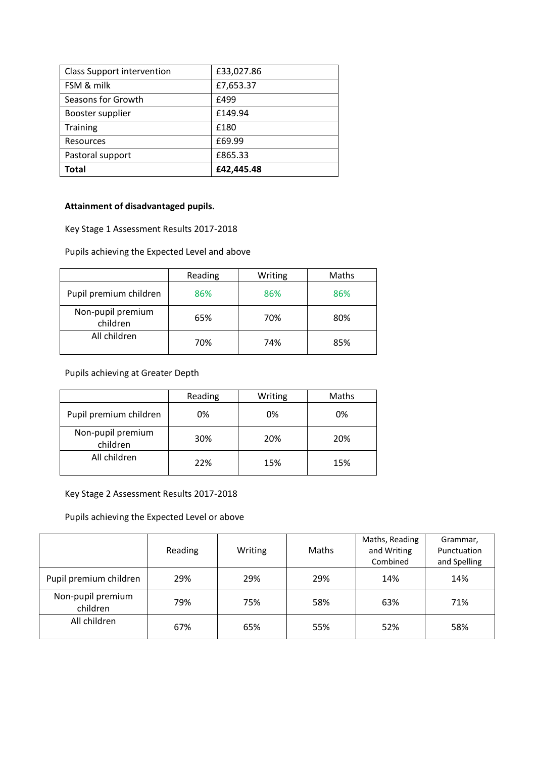| <b>Class Support intervention</b> | £33,027.86 |
|-----------------------------------|------------|
| FSM & milk                        | £7,653.37  |
| Seasons for Growth                | £499       |
| Booster supplier                  | £149.94    |
| <b>Training</b>                   | £180       |
| Resources                         | £69.99     |
| Pastoral support                  | £865.33    |
| Total                             | £42,445.48 |

# **Attainment of disadvantaged pupils.**

Key Stage 1 Assessment Results 2017-2018

Pupils achieving the Expected Level and above

|                               | Reading | Writing | Maths |
|-------------------------------|---------|---------|-------|
| Pupil premium children        | 86%     | 86%     | 86%   |
| Non-pupil premium<br>children | 65%     | 70%     | 80%   |
| All children                  | 70%     | 74%     | 85%   |

# Pupils achieving at Greater Depth

|                               | Reading | Writing | Maths |
|-------------------------------|---------|---------|-------|
| Pupil premium children        | 0%      | 0%      | 0%    |
| Non-pupil premium<br>children | 30%     | 20%     | 20%   |
| All children                  | 22%     | 15%     | 15%   |

# Key Stage 2 Assessment Results 2017-2018

Pupils achieving the Expected Level or above

|                               | Reading | Writing | Maths | Maths, Reading<br>and Writing<br>Combined | Grammar,<br>Punctuation<br>and Spelling |
|-------------------------------|---------|---------|-------|-------------------------------------------|-----------------------------------------|
| Pupil premium children        | 29%     | 29%     | 29%   | 14%                                       | 14%                                     |
| Non-pupil premium<br>children | 79%     | 75%     | 58%   | 63%                                       | 71%                                     |
| All children                  | 67%     | 65%     | 55%   | 52%                                       | 58%                                     |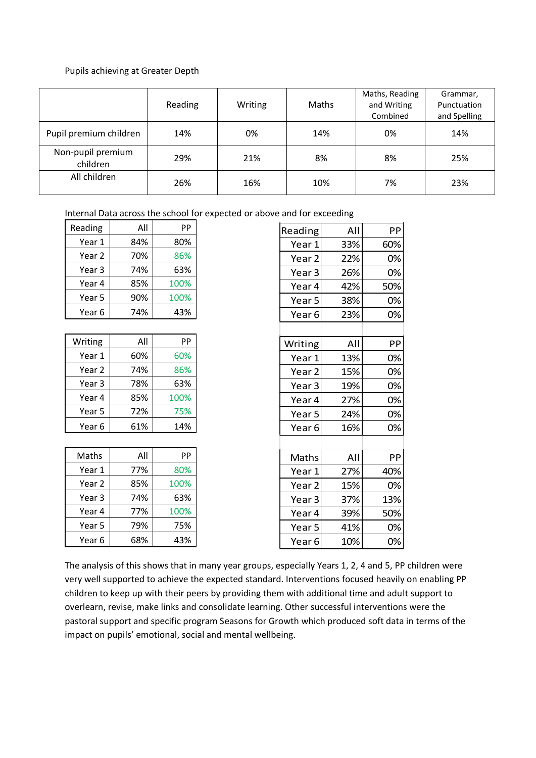#### Pupils achieving at Greater Depth

|                               | Reading | Writing | Maths | Maths, Reading<br>and Writing<br>Combined | Grammar,<br>Punctuation<br>and Spelling |
|-------------------------------|---------|---------|-------|-------------------------------------------|-----------------------------------------|
| Pupil premium children        | 14%     | 0%      | 14%   | 0%                                        | 14%                                     |
| Non-pupil premium<br>children | 29%     | 21%     | 8%    | 8%                                        | 25%                                     |
| All children                  | 26%     | 16%     | 10%   | 7%                                        | 23%                                     |

Internal Data across the school for expected or above and for exceeding

| Reading | All | PP   |
|---------|-----|------|
| Year 1  | 84% | 80%  |
| Year 2  | 70% | 86%  |
| Year 3  | 74% | 63%  |
| Year 4  | 85% | 100% |
| Year 5  | 90% | 100% |
| Year 6  | 74% | 43%  |

| Writing | All | PP   |
|---------|-----|------|
| Year 1  | 60% | 60%  |
| Year 2  | 74% | 86%  |
| Year 3  | 78% | 63%  |
| Year 4  | 85% | 100% |
| Year 5  | 72% | 75%  |
| Year 6  | 61% | 14%  |

| All | PP   |
|-----|------|
| 77% | 80%  |
| 85% | 100% |
| 74% | 63%  |
| 77% | 100% |
| 79% | 75%  |
| 68% | 43%  |
|     |      |

| All | PP  |
|-----|-----|
| 33% | 60% |
| 22% | 0%  |
| 26% | 0%  |
| 42% | 50% |
| 38% | 0%  |
| 23% | 0%  |
|     |     |
| All | PP  |
| 13% | 0%  |
| 15% | 0%  |
| 19% | 0%  |
| 27% | 0%  |
| 24% | 0%  |
| 16% | 0%  |
|     |     |
| All | PP  |
| 27% | 40% |
| 15% | 0%  |
| 37% | 13% |
| 39% | 50% |
| 41% | 0%  |
| 10% | 0%  |
|     |     |

The analysis of this shows that in many year groups, especially Years 1, 2, 4 and 5, PP children were very well supported to achieve the expected standard. Interventions focused heavily on enabling PP children to keep up with their peers by providing them with additional time and adult support to overlearn, revise, make links and consolidate learning. Other successful interventions were the pastoral support and specific program Seasons for Growth which produced soft data in terms of the impact on pupils' emotional, social and mental wellbeing.